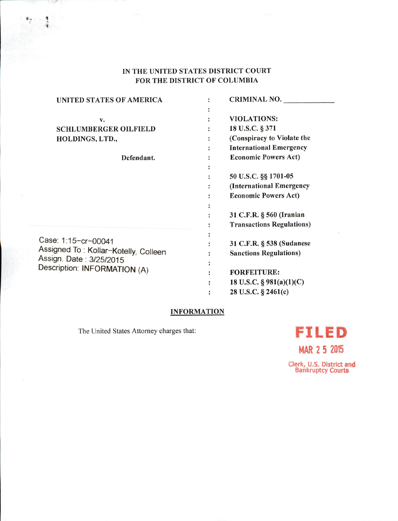# IN THE UNITED STATES DISTRICT COURT FOR THE DISTRICT OF COLUMBIA

| UNITED STATES OF AMERICA                                                                        | <b>CRIMINAL NO.</b>              |
|-------------------------------------------------------------------------------------------------|----------------------------------|
|                                                                                                 |                                  |
| v.                                                                                              | <b>VIOLATIONS:</b>               |
| <b>SCHLUMBERGER OILFIELD</b>                                                                    | 18 U.S.C. § 371                  |
| HOLDINGS, LTD.,                                                                                 | (Conspiracy to Violate the       |
|                                                                                                 | <b>International Emergency</b>   |
| Defendant.                                                                                      | <b>Economic Powers Act)</b>      |
|                                                                                                 |                                  |
|                                                                                                 | 50 U.S.C. §§ 1701-05             |
|                                                                                                 | (International Emergency         |
|                                                                                                 | <b>Economic Powers Act)</b>      |
| Assigned To: Kollar-Kotelly, Colleen<br>Assign. Date: 3/25/2015<br>Description: INFORMATION (A) |                                  |
|                                                                                                 | 31 C.F.R. § 560 (Iranian         |
|                                                                                                 | <b>Transactions Regulations)</b> |
| Case: 1:15-cr-00041                                                                             | 31 C.F.R. § 538 (Sudanese        |
|                                                                                                 | <b>Sanctions Regulations)</b>    |
|                                                                                                 |                                  |
|                                                                                                 | <b>FORFEITURE:</b>               |
|                                                                                                 | 18 U.S.C. § $981(a)(1)(C)$       |
|                                                                                                 | 28 U.S.C. § 2461(c)              |
|                                                                                                 |                                  |

# INFORMATION

The United States Attorney charges that:

I

 $\overline{a}$ 

# FILED

MAR 2 5 2015

Clerk, U.S. District and Bankruptcy Courts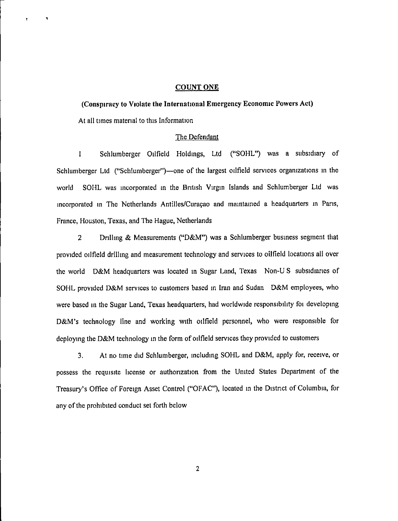## COUNT ONE

(Conspiracy to Violate the International Emergency Economic Powers Act) At all times material to this Information

# The Defendant

1 Schlumberger Oilfield Holdings, Ltd ("SOHL") was a subsidiary of Schlumberger Ltd ("Schlumberger")—one of the largest oilfield services organizations m the world SOHL was incorporated m the British Virgin Islands and Schlumberger Ltd was incorporated in The Netherlands Antilles/Curaçao and maintained a headquarters in Paris, France, Houston, Texas, and The Hague, Netherlands

2 Drilling & Measurements ("D&M") was a Schlumberger business segment that provided oilfield drilling and measurement technology and services to oilfield locations all over the world D&M headquarters was located in Sugar Land, Texas Non-U S subsidiaries of SOHL provided D&M services to customers based in Iran and Sudan D&M employees, who were based in the Sugar Land, Texas headquarters, had worldwide responsibility foi developing D&M's technology line and working with oilfield personnel, who were responsible for deploying the D&M technology in the form of oilfield services they provided to customers

3. At no time did Schlumberger, including SOHL and D&M, apply for, receive, or possess the requisite license or authorization from the United States Department of the Treasury's Office of Foreign Asset Control ("OFAC"), located in the District of Columbia, for any of the prohibited conduct set forth below

 $\overline{2}$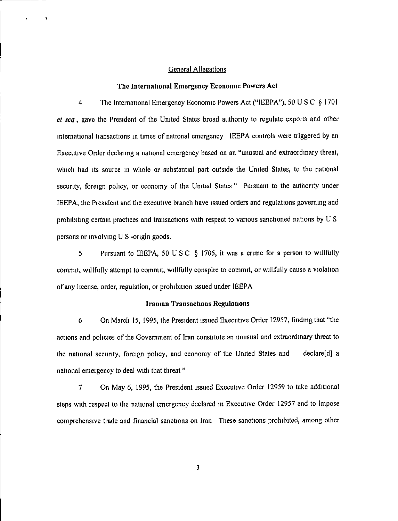## General Allegations

## The International Emergency Economic Powers Act

4 The International Emergency Economic Powers Act ("IEEPA"), 50 U S C § 1701 et seq, gave the President of the United States broad authority to regulate exports and other international tiansactions in times of national emergency lEEPA controls were triggered by an Executive Order declanng a national emergency based on an "unusual and extraordinary threat, which had its source in whole or substantial part outside the United States, to the national security, foreign policy, or economy of the United States " Pursuant to the authority under lEEPA, the President and the executive branch have issued orders and regulations governing and prohibiting certain practices and transactions with respect to various sanctioned nations by U S persons or involving U S -origin goods.

5 Pursuant to lEEPA, 50 U S C § 1705, it was a crime for a person to willfully commit, willfully attempt to commit, willfully conspire to commit, or willfully cause a violation ofany license, order, regulation, or prohibition issued under IBEPA

#### Iranian Transactions Regulations

6 On March 15, 1995, the President issued Executive Order 12957, finding that "the actions and policies of the Government of Iran constitute an unusual and extraordinary threat to the national security, foreign policy, and economy of the United States and declare[d] a national emergency to deal with that threat"

7 On May 6, 1995, the President issued Executive Order 12959 to take additional steps with respect to the national emergency declared in Executive Order 12957 and to impose comprehensive trade and financial sanctions on Iran These sanctions prohibited, among other

3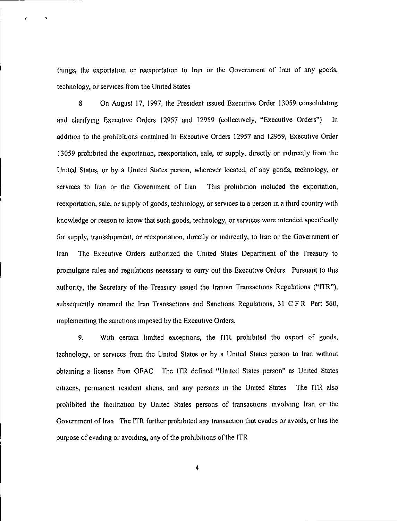things, the exportation or reexportation to Iran or the Government of Iran of any goods, technology, or services from the United States

8 On August 17, 1997, the President issued Executive Order 13059 consolidating and clarifying Executive Orders 12957 and 12959 (collectively, "Executive Orders") In addition to the prohibitions contained in Executive Orders 12957 and 12959, Executive Order 13059 prohibited the exportation, reexportation, sale, or supply, directly or indirectly from the United States, or by a United States person, wherever located, of any goods, technology, or services to Iran or the Government of Iran This prohibition included the exportation, reexportation, sale, or supply of goods, technology, or services to a person in a third country with knowledge or reason to know that such goods, technology, or services were intended specifically for supply, transshipment, or reexportation, directly or indirectly, to Iran or the Government of Iran The Executive Orders authorized the United States Department of the Treasury to promulgate rules and regulations necessary to carry out the Executive Orders Pursuant to this authority, the Secretary of the Treasury issued the Iranian Transactions Regulations ("ITR"), subsequently renamed the Iran Transactions and Sanctions Regulations, 31 CFR Part 560, implementing the sanctions imposed by the Executive Orders.

9. With certain limited exceptions, the ITR prohibited the export of goods, technology, or services from the United States or by a United States person to Iran without obtaining a license from OFAC The ITR defined "United States person" as United States citizens, permanent lesidenl aliens, and any persons in the United States The ITR also prohibited the facilitation by United States persons of transactions involving Iran or the Government of Iran The ITR further prohibited any transaction that evades or avoids, or has the purpose of evading or avoiding, any of the prohibitions of the ITR

 $\overline{4}$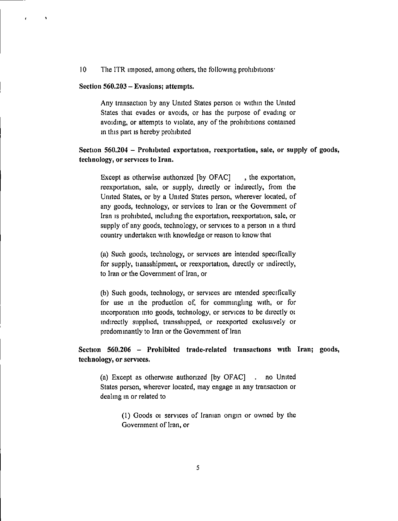10 The ITR imposed, among others, the following prohibitions'

#### Section 560.203 - Evasions; attempts.

 $\mathbf{r}$ 

Any transaction by any United States person oi within the United States that evades or avoids, or has the purpose of evading or avoiding, or attempts to violate, any of the prohibitions contained in this part is hereby prohibited

# Section 560.204 - Prohibited exportation, reexportation, sale, or supply of goods, technology, or services to Iran.

Except as otherwise authorized [by OFAC], the exportation, reexportation, sale, or supply, directly or indirectly, from the United States, or by a United States person, wherever located, of any goods, technology, or services to Iran or the Government of Iran is prohibited, including the exportation, reexportation, sale, or supply of any goods, technology, or services to a person in a third country undertaken with knowledge or reason to know that

(a) Such goods, technology, or services are intended specifically for supply, tiansshipment, or reexportation, directly or indirectly, to Iran or the Government of Iran, or

(b) Such goods, technology, or services are intended specifically for use in the production of, for commingling with, or for incorporation into goods, technology, or services to be directly oi indirectly supplied, transshipped, or reexported exclusively or predominantly to Iran or the Government of Iran

Section 560.206 - Prohibited trade-related transactions with Iran; goods, technology, or services.

(a) Except as otherwise authorized [by OFAC] . no United States person, wherever located, may engage in any transaction or dealing in or related to

> (1) Goods <sup>01</sup> services of Iranian origin or owned by the Government of Iran, or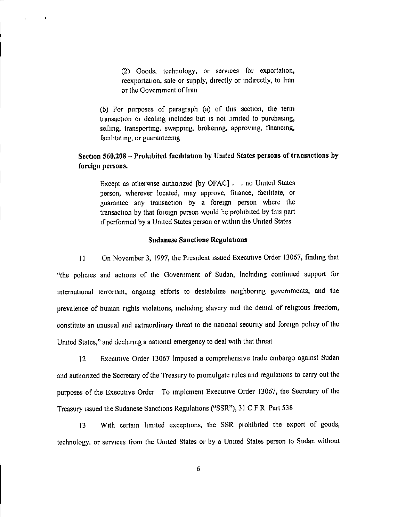(2) Goods, technology, or services for exportation, reexportation, sale or supply, directly or indirectly, to Iran or the Government of Iran

(b) For purposes of paragraph (a) of this section, the term tiansaction oi dealing includes but is not limited to purchasing, selling, transporting, swapping, brokering, approving, financing, facilitating, or guaranteeing

 $\lambda$ 

# Section 560.208 - Prohibited facilitation by United States persons of transactions by foreign persons.

Except as otherwise authorized [by OFAC] . . no United States person, wherever located, may approve, finance, facilitate, or guarantee any transaction by a foreign person where the transaction by that foicign person would be prohibited by this part if performed by a United States person or within the United States

# Sudanese Sanctions Regulations

11 On November 3, 1997, the President issued Executive Order 13067, finding that "the policies and actions of the Government of Sudan, including continued support for international terrorism, ongoing efforts to destabilize neighboring governments, and the prevalence of human rights violations, including slavery and the denial of religious freedom, constitute an unusual and extraordinary threat to the national security and foreign policy of the United States,"and declaringa national emergency to deal with that threat

12 Executive Order 13067 imposed a comprehensive trade embargo against Sudan and authorized the Secretary of the Treasury to piomulgate rules and regulations to carry out the purposes of the Executive Order To implement Executive Order 13067, the Secretary of the Treasury issued the Sudanese Sanctions Regulations ("SSR"), 31 C F R Part 538

13 With certain limited exceptions, the SSR prohibited the export of goods, technology, or services from the United States or by a United States person to Sudan without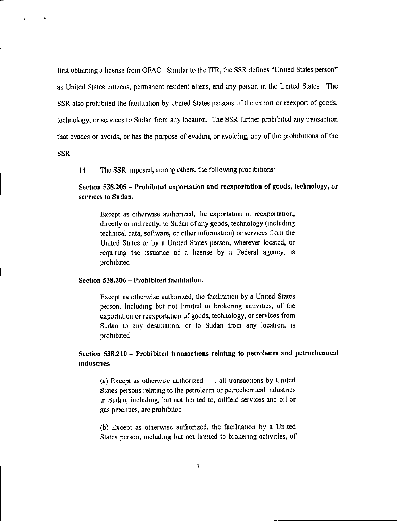first obtaining a license from OFAC Similarto the ITR, the SSR defines "United States person" as United States citizens, permanent resident aliens, and any peison m the United States The SSR also prohibited the facilitation by United States persons of the export or reexport of goods, technology, or services to Sudan from any location. The SSR further prohibited any transaction that evades or avoids, or has the purpose of evading or avoiding, any of the prohibitions of the

#### SSR

 $\ddot{\phantom{a}}$ 

14 The SSR imposed, among others, the following prohibitions'

# Section 538.205 - Prohibited exportation and reexportation of goods, technology, or services to Sudan.

Except as otherwise authorized, the exportation or reexportation, directlyor indirectly, to Sudan of any goods, technology (including technical data, software, or other information) or services from the United States or by a United States person, wherever located, or requiring the issuance of a license by a Federal agency, is prohibited

# Section 538.206 - Prohibited facilitation.

Except as otherwise authorized, the facilitation by a United States person, including but not limited to brokering activities, of the exportation or reexportation of goods, technology, or services from Sudan to any destination, or to Sudan from any location, is prohibited

# Section 538,210 - Prohibited transactions relating to petroleum and petrochemical industries.

(a) Except as otherwise authorized . all transactions by United States persons relating to the petroleum or petrochemical industries in Sudan, including, but not limited to, oilfield services and oil or gas pipelines, are prohibited

(b) Except as otherwise authorized, the facilitation by a United States person, including but not limited to brokering activities, of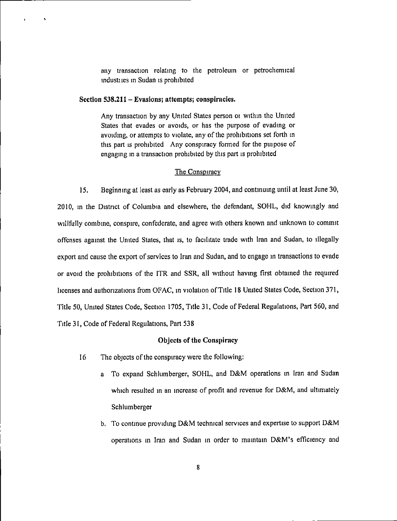any transaction relating to the petroleum or petrochemical industiies m Sudan is prohibited

Section 538.211 - Evasions; attempts; conspiracies.

 $\ddot{\phantom{1}}$ 

Any transaction by any United Stales person oi within the United States that evades or avoids, or has the purpose of evading or avoiding, or attempts to violate, any of the prohibitions set forth in this part is prohibited Any conspiracy formed for the puipose of engaging in a transaction prohibited by this part is prohibited

## The Conspiracy

15. Beginning at least as early as February 2004, and continuing until at least June 30, 2010, in the District of Columbia and elsewhere, the defendant, SOHL, did knowingly and willfully combine, conspire, confederate, and agree with others known and unknown to commit offenses against the United Slates, that is, to facilitate trade with Iran and Sudan, to illegally export and cause the export of services to Iran and Sudan, and to engage in transactions to evade or avoid the prohibitions of the ITR and SSR, all without having first obtained the required licenses and authorizations from OFAC, in violation of Title 18 United States Code, Section 371, Title 50, United States Code, Section 1705, Title 31, Code of Federal Regulations, Part 560, and Title 31, Code of Federal Regulations, Part 538

## Objects of the Conspiracy

- 16 The objects ofthe conspiracy were the following:
	- a To expand Schlumberger, SOHL, and D&M operations m Iran and Sudan which resulted in an increase of profit and revenue for D&M, and ultimately Schlumberger
	- b. To continue providing D&M technical services and expertise to support D&M operations in Iran and Sudan in order to maintain D&M's efficiency and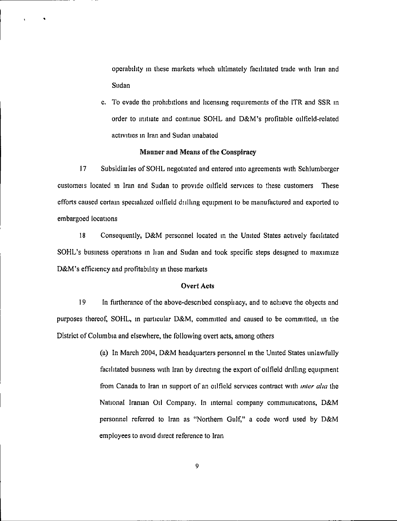operability in these markets which ultimately facilitated trade with Iran and Sudan

c. To evade the prohibitions and licensing requirements of the ITR and SSR in order to initiate and continue SOHL and D&M's profitable oilfield-related activities in Iran and Sudan unabated

# Manner and Means of the Conspiracy

17 Subsidiaries of SOHL negotiated and entered into agreements with Schlumberger customeis located in Iran and Sudan to provide oilfield services to these customers These efforts caused certain specialized oilfield dulling equipment to be manufactured and exported to embargoed locations

18 Consequently, D&M personnel located in the United States actively facilitated SOHL's business operations in Iian and Sudan and took specific steps designed to maximize D&M's efficiency and profitability in these markets

## Overt Acts

19 In furtherance of the above-described conspiiacy, and to achieve the objects and purposes thereof, SOHL, in particular D&M, committed and caused to be committed, in the District of Columbia and elsewhere, the following overt acts, among others

> (a) In March 2004, D&M headquarters personnel in the United States unlawfully facilitated business with Iran by directing the export of oilfield drilling equipment from Canada to Iran in support of an oilfield services contract with *inter alia* the National Iranian Oil Company. In internal company communications, D&M personnel referred to Iran as "Northern Gulf," a code word used by D&M employees to avoid direct reference to Iran

> > 9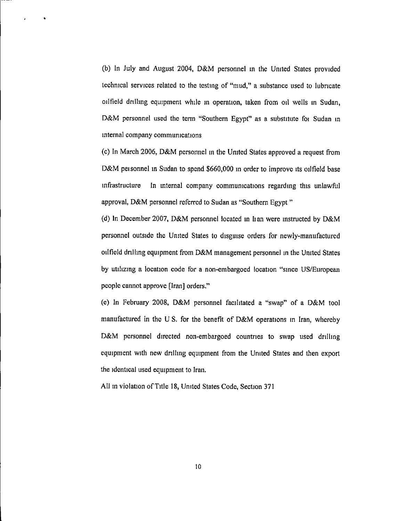(b) In July and August 2004, D&M personnel in the United States provided technical services related to the testing of "mud," a substance used to lubricate oilfield drilling equipment while in operation, taken from oil wells in Sudan, D&M personnel used the term "Southern Egypt" as a substitute foi Sudan in internal company communications

(c) In March 2006, D&M personnel in the United States approved a request from D&M personnel in Sudan to spend \$660,000 in order to improve its oilfield base infrastructure In internal company communications regarding this unlawful approval, D&M personnel referred to Sudan as "Southern Egypt"

(d) In December 2007, D&M personnel located in Iian were instructed by D&M personnel outside the United Stales to disguise orders for newly-manufactured oilfield drilling equipment from D&M management personnel in the United States by utilizing a location code for a non-embargoed location "since US/European people cannot approve [Iran] orders."

(e) In February 2008, D&M personnel facilitated a "swap" of a D&M tool manufactured in the U S. for the benefit of D&M operations m Iran, whereby D&M personnel directed non-embargoed countries to swap used drilling equipment with new drilling equipment from the United States and then export the identical used equipment to Iran.

All in violation of Title 18, United States Code, Section 371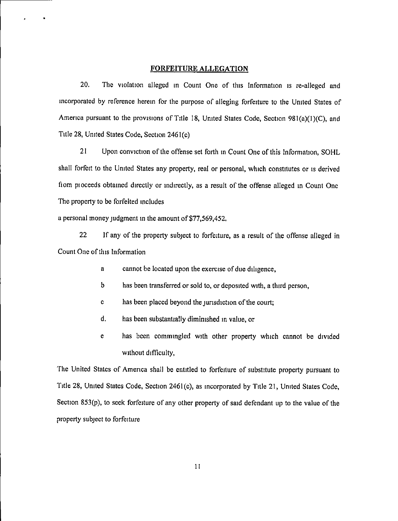## FORFEITURE ALLEGATION

20. The violation alleged in Count One of this Information is re-alleged and incorporated by reference herein for the purpose of alleging forfeiture to the United States of America pursuant to the provisions of Title 18, United States Code, Section 981(a)(1)(C), and Title 28, United States Code, Section 2461(c)

21 Upon conviction of the offense set forth in Count One of this Information, SGML shall forfeit to the United States any property, real or personal, which constitutes or is derived fiom pioceeds obtained directly or indirectly, as a result of the offense alleged in Count One The property to be forfeited includes

a personal money judgment in the amount of \$77,569,452.

22 If any of the property subject to forfeiture, as a result of the offense alleged in Count One of this Information

- a cannot be located upon the exercise of due diligence,
- b has been transferred or sold to, or deposited with, a third person,
- c has been placed beyond the jurisdiction of the court;
- d. has been substantially diminished in value, or
- e has been commingled with other property which cannot be divided without difficulty,

The United States of America shall be entitled to forfeiture of substitute property pursuant to Title 28, United States Code, Section 2461(c), as incorporated by Title 21, United States Code, Section 853(p), to seek forfeiture of any other property of said defendant up to the value of the property subject to forfeiture

II